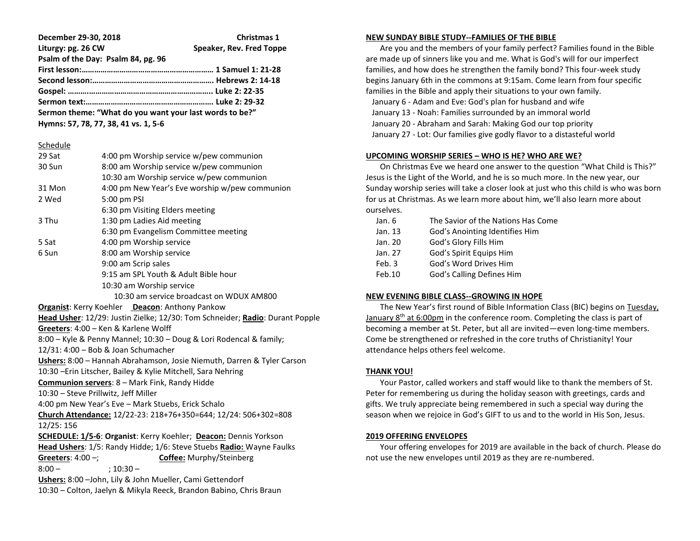**December 29-30, 2018 Christmas 1 Liturgy: pg. 26 CW Speaker, Rev. Fred Toppe Psalm of the Day: Psalm 84, pg. 96 First lesson:……………………………………………………… 1 Samuel 1: 21-28 Second lesson:…………………………………………………. Hebrews 2: 14-18 Gospel: ……….………………………………………………….. Luke 2: 22-35 Sermon text:……………………………………………………. Luke 2: 29-32 Sermon theme: "What do you want your last words to be?"**

**Hymns: 57, 78, 77, 38, 41 vs. 1, 5-6**

Schedule

| 29 Sat                                                                       | 4:00 pm Worship service w/pew communion                              |  |
|------------------------------------------------------------------------------|----------------------------------------------------------------------|--|
| 30 Sun                                                                       | 8:00 am Worship service w/pew communion                              |  |
|                                                                              | 10:30 am Worship service w/pew communion                             |  |
| 31 Mon                                                                       | 4:00 pm New Year's Eve worship w/pew communion                       |  |
| 2 Wed                                                                        | 5:00 pm PSI                                                          |  |
|                                                                              | 6:30 pm Visiting Elders meeting                                      |  |
| 3 Thu                                                                        | 1:30 pm Ladies Aid meeting                                           |  |
|                                                                              | 6:30 pm Evangelism Committee meeting                                 |  |
| 5 Sat                                                                        | 4:00 pm Worship service                                              |  |
| 6 Sun                                                                        | 8:00 am Worship service                                              |  |
|                                                                              | 9:00 am Scrip sales                                                  |  |
|                                                                              | 9:15 am SPL Youth & Adult Bible hour                                 |  |
|                                                                              | 10:30 am Worship service                                             |  |
|                                                                              | 10:30 am service broadcast on WDUX AM800                             |  |
| Organist: Kerry Koehler Deacon: Anthony Pankow                               |                                                                      |  |
| Head Usher: 12/29: Justin Zielke; 12/30: Tom Schneider; Radio: Durant Popple |                                                                      |  |
| Greeters: 4:00 - Ken & Karlene Wolff                                         |                                                                      |  |
| 8:00 - Kyle & Penny Mannel; 10:30 - Doug & Lori Rodencal & family;           |                                                                      |  |
| 12/31: 4:00 - Bob & Joan Schumacher                                          |                                                                      |  |
| Ushers: 8:00 - Hannah Abrahamson, Josie Niemuth, Darren & Tyler Carson       |                                                                      |  |
| 10:30 - Erin Litscher, Bailey & Kylie Mitchell, Sara Nehring                 |                                                                      |  |
| Communion servers: 8 - Mark Fink, Randy Hidde                                |                                                                      |  |
| 10:30 - Steve Prillwitz, Jeff Miller                                         |                                                                      |  |
| 4:00 pm New Year's Eve - Mark Stuebs, Erick Schalo                           |                                                                      |  |
| 12/25: 156                                                                   | Church Attendance: 12/22-23: 218+76+350=644; 12/24: 506+302=808      |  |
|                                                                              | SCHEDULE: 1/5-6: Organist: Kerry Koehler; Deacon: Dennis Yorkson     |  |
|                                                                              | Head Ushers: 1/5: Randy Hidde; 1/6: Steve Stuebs Radio: Wayne Faulks |  |
| Greeters: $4:00 -;$                                                          | Coffee: Murphy/Steinberg                                             |  |
| $8:00 -$                                                                     | $:10:30-$                                                            |  |
| Ushers: 8:00 - John, Lily & John Mueller, Cami Gettendorf                    |                                                                      |  |
| 10:30 - Colton, Jaelyn & Mikyla Reeck, Brandon Babino, Chris Braun           |                                                                      |  |
|                                                                              |                                                                      |  |

#### **NEW SUNDAY BIBLE STUDY--FAMILIES OF THE BIBLE**

 Are you and the members of your family perfect? Families found in the Bible are made up of sinners like you and me. What is God's will for our imperfect families, and how does he strengthen the family bond? This four-week study begins January 6th in the commons at 9:15am. Come learn from four specific families in the Bible and apply their situations to your own family. January 6 - Adam and Eve: God's plan for husband and wife January 13 - Noah: Families surrounded by an immoral world January 20 - Abraham and Sarah: Making God our top priority January 27 - Lot: Our families give godly flavor to a distasteful world

## **UPCOMING WORSHIP SERIES – WHO IS HE? WHO ARE WE?**

 On Christmas Eve we heard one answer to the question "What Child is This?" Jesus is the Light of the World, and he is so much more. In the new year, our Sunday worship series will take a closer look at just who this child is who was born for us at Christmas. As we learn more about him, we'll also learn more about ourselves.

| Jan. 6  | The Savior of the Nations Has Come |
|---------|------------------------------------|
| Jan. 13 | God's Anointing Identifies Him     |
| Jan. 20 | God's Glory Fills Him              |
| Jan. 27 | God's Spirit Equips Him            |
| Feb. 3  | God's Word Drives Him              |
| Feb.10  | God's Calling Defines Him          |

# **NEW EVENING BIBLE CLASS--GROWING IN HOPE**

 The New Year's first round of Bible Information Class (BIC) begins on Tuesday, January  $8<sup>th</sup>$  at 6:00pm in the conference room. Completing the class is part of becoming a member at St. Peter, but all are invited—even long-time members. Come be strengthened or refreshed in the core truths of Christianity! Your attendance helps others feel welcome.

## **THANK YOU!**

 Your Pastor, called workers and staff would like to thank the members of St. Peter for remembering us during the holiday season with greetings, cards and gifts. We truly appreciate being remembered in such a special way during the season when we rejoice in God's GIFT to us and to the world in His Son, Jesus.

## **2019 OFFERING ENVELOPES**

 Your offering envelopes for 2019 are available in the back of church. Please do not use the new envelopes until 2019 as they are re-numbered.